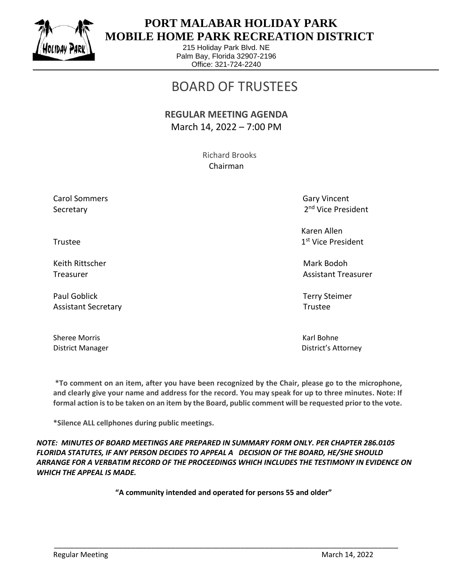

 $\overline{a}$ 

## **PORT MALABAR HOLIDAY PARK MOBILE HOME PARK RECREATION DISTRICT**

215 Holiday Park Blvd. NE Palm Bay, Florida 32907-2196 Office: 321-724-2240

# BOARD OF TRUSTEES

#### **REGULAR MEETING AGENDA** March 14, 2022 – 7:00 PM

 Richard Brooks Chairman

Carol Sommers Gary Vincent Secretary

2<sup>nd</sup> Vice President

 Karen Allen 1st Vice President

Treasurer Assistant Treasurer Assistant Treasurer Assistant Treasurer Assistant Treasurer

District Manager District's Attorney

Trustee and the state of the state of the state of the state of the state of the state of the state of the state of the state of the state of the state of the state of the state of the state of the state of the state of th

Keith Rittscher Mark Bodoh (Mark Bodoh Mark Bodoh Mark Bodoh Mark Bodoh Mark Bodoh Mark Bodoh Mark Bodoh Mark

Paul Goblick Terry Steimer Assistant Secretary **Trustee** 

Sheree Morris **Karl Bohne** Karl Bohne

**\*To comment on an item, after you have been recognized by the Chair, please go to the microphone, and clearly give your name and address for the record. You may speak for up to three minutes. Note: If formal action is to be taken on an item by the Board, public comment will be requested prior to the vote.**

**\*Silence ALL cellphones during public meetings.**

*NOTE: MINUTES OF BOARD MEETINGS ARE PREPARED IN SUMMARY FORM ONLY. PER CHAPTER 286.0105 FLORIDA STATUTES, IF ANY PERSON DECIDES TO APPEAL A DECISION OF THE BOARD, HE/SHE SHOULD ARRANGE FOR A VERBATIM RECORD OF THE PROCEEDINGS WHICH INCLUDES THE TESTIMONY IN EVIDENCE ON WHICH THE APPEAL IS MADE.*

**"A community intended and operated for persons 55 and older"**

\_\_\_\_\_\_\_\_\_\_\_\_\_\_\_\_\_\_\_\_\_\_\_\_\_\_\_\_\_\_\_\_\_\_\_\_\_\_\_\_\_\_\_\_\_\_\_\_\_\_\_\_\_\_\_\_\_\_\_\_\_\_\_\_\_\_\_\_\_\_\_\_\_\_\_\_\_\_\_\_\_\_\_\_\_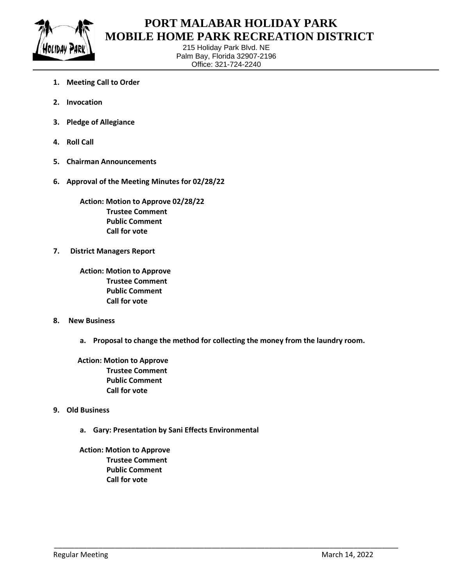

 $\overline{a}$ 

## **PORT MALABAR HOLIDAY PARK MOBILE HOME PARK RECREATION DISTRICT**

215 Holiday Park Blvd. NE Palm Bay, Florida 32907-2196 Office: 321-724-2240

- **1. Meeting Call to Order**
- **2. Invocation**
- **3. Pledge of Allegiance**
- **4. Roll Call**
- **5. Chairman Announcements**
- **6. Approval of the Meeting Minutes for 02/28/22**

**Action: Motion to Approve 02/28/22 Trustee Comment Public Comment Call for vote**

**7. District Managers Report**

**Action: Motion to Approve Trustee Comment Public Comment Call for vote**

- **8. New Business**
	- **a. Proposal to change the method for collecting the money from the laundry room.**

\_\_\_\_\_\_\_\_\_\_\_\_\_\_\_\_\_\_\_\_\_\_\_\_\_\_\_\_\_\_\_\_\_\_\_\_\_\_\_\_\_\_\_\_\_\_\_\_\_\_\_\_\_\_\_\_\_\_\_\_\_\_\_\_\_\_\_\_\_\_\_\_\_\_\_\_\_\_\_\_\_\_\_\_\_

 **Action: Motion to Approve Trustee Comment Public Comment Call for vote**

- **9. Old Business**
	- **a. Gary: Presentation by Sani Effects Environmental**

 **Action: Motion to Approve Trustee Comment Public Comment Call for vote**